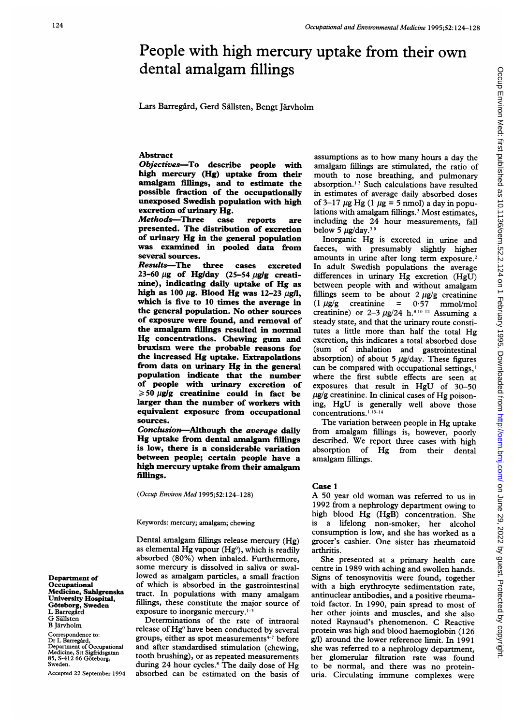# People with high mercury uptake from their own dental amalgam fillings

Lars Barregård, Gerd Sällsten, Bengt Järvholm

## Abstract

Objectives-To describe people with high mercury (Hg) uptake from their amalgam fillings, and to estimate the possible fraction of the occupationally unexposed Swedish population with high excretion of urinary Hg.<br>Methods-Three case

Methods-Three case reports are presented. The distribution of excretion of urinary Hg in the general population was examined in pooled data from several sources.

Results-The three cases excreted  $23-60 \mu$ g of Hg/day (25-54  $\mu$ g/g creatinine), indicating daily uptake of Hg as high as 100  $\mu$ g. Blood Hg was 12-23  $\mu$ g/l, which is five to 10 times the average in the general population. No other sources of exposure were found, and removal of the amalgam fillings resulted in normal Hg concentrations. Chewing gum and bruxism were the probable reasons for the increased Hg uptake. Extrapolations from data on urinary Hg in the general population indicate that the number of people with urinary excretion of  $\geqslant$  50 µg/g creatinine could in fact be larger than the number of workers with equivalent exposure from occupational sources.

Conclusion-Although the average daily Hg uptake from dental amalgam fillings is low, there is a considerable variation between people; certain people have a high mercury uptake from their amalgam fillings.

(Occup Environ Med 1995;52:124-128)

#### Keywords: mercury; amalgam; chewing

Dental amalgam fillings release mercury (Hg) as elemental  $Hg$  vapour ( $Hg^0$ ), which is readily absorbed (80%) when inhaled. Furthermore, some mercury is dissolved in saliva or swallowed as amalgam particles, a small fraction of which is absorbed in the gastrointestinal tract. In populations with many amalgam fillings, these constitute the major source of exposure to inorganic mercury.'-3

Determinations of the rate of intraoral release of Hg<sup>o</sup> have been conducted by several groups, either as spot measurements $47$  before and after standardised stimulation (chewing, tooth brushing), or as repeated measurements during 24 hour cycles.<sup>8</sup> The daily dose of Hg absorbed can be estimated on the basis of

assumptions as to how many hours <sup>a</sup> day the amalgam fillings are stimulated, the ratio of mouth to nose breathing, and pulmonary absorption."<sup>3</sup> Such calculations have resulted in estimates of average daily absorbed doses of 3-17  $\mu$ g Hg (1  $\mu$ g = 5 nmol) a day in populations with amalgam fillings.<sup>3</sup> Most estimates, including the 24 hour measurements, fall below 5  $\mu$ g/day.<sup>39</sup>

Inorganic Hg is excreted in urine and faeces, with presumably slightly higher amounts in urine after long term exposure.<sup>2</sup> In adult Swedish populations the average differences in urinary Hg excretion (HgU) between people with and without amalgam fillings seem to be about  $2 \mu g/g$  creatinine  $(1 \mu g/g \quad \text{creation} = 0.57 \quad \text{mmol/mol}$ creatinine) or 2-3  $\mu$ g/24 h.<sup>8 10-12</sup> Assuming a steady state, and that the urinary route constitutes <sup>a</sup> little more than half the total Hg excretion, this indicates a total absorbed dose (sum of inhalation and gastrointestinal absorption) of about 5  $\mu$ g/day. These figures can be compared with occupational settings,' where the first subtle effects are seen at exposures that result in HgU of 30-50  $\mu$ g/g creatinine. In clinical cases of Hg poisoning, HgU is generally well above those concentrations.<sup>1</sup><sup>13-14</sup>

The variation between people in Hg uptake from amalgam fillings is, however, poorly described. We report three cases with high absorption of Hg from their dental amalgam fillings.

# Case <sup>1</sup>

A <sup>50</sup> year old woman was referred to us in 1992 from <sup>a</sup> nephrology department owing to high blood Hg (HgB) concentration. She is a lifelong non-smoker, her alcohol consumption is low, and she has worked as a grocer's cashier. One sister has rheumatoid arthritis.

She presented at <sup>a</sup> primary health care centre in 1989 with aching and swollen hands. Signs of tenosynovitis were found, together with <sup>a</sup> high erythrocyte sedimentation rate, antinuclear antibodies, and a positive rheumatoid factor. In 1990, pain spread to most of her other joints and muscles, and she also noted Raynaud's phenomenon. C Reactive protein was high and blood haemoglobin (126 g/l) around the lower reference limit. In 1991 she was referred to <sup>a</sup> nephrology department, her glomerular filtration rate was found to be normal, and there was no proteinuria. Circulating immune complexes were

Department of Occupational Medicine, Sahlgrenska University Hospital, Göteborg, Sweden<br>L Barregård G Sällsten B Jarvholm

Correspondence to: Dr L Barregård, Department of Occupational Medicine, S:t Sigfridsgatan 85, S-412 66 Goteborg, Sweden.

Accepted 22 September 1994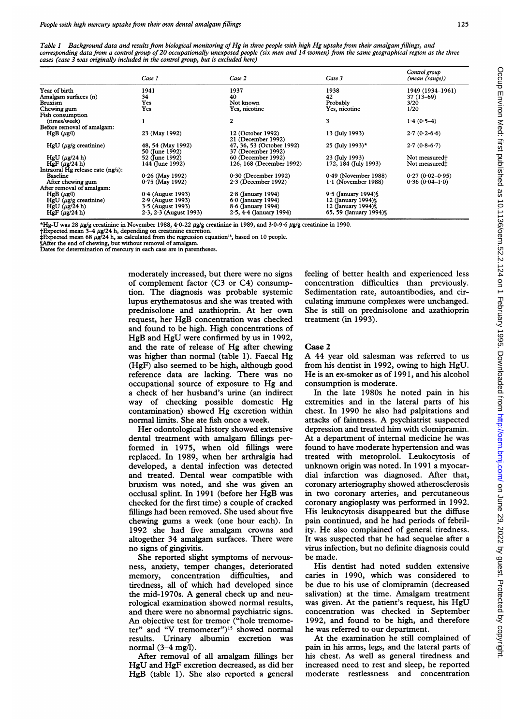Table <sup>1</sup> Background data and results from biological monitoring of Hg in three people with high Hg uptake from their amalgam fillings, and corresponding data from a control group of 20 occupationally unexposed people (six men and 14 women) from the same geographical region as the three cases (case <sup>3</sup> was originally included in the control group, but is excluded here)

|                                   | Case 1                   | Case 2                    | Case 3                  | Control group<br>(mean (range)) |
|-----------------------------------|--------------------------|---------------------------|-------------------------|---------------------------------|
| Year of birth                     | 1941                     | 1937                      | 1938                    | 1949 (1934–1961)                |
| Amalgam surfaces (n)              | 34                       | 40                        | 42                      | 37 (13-69)                      |
| <b>Bruxism</b>                    | Yes                      | Not known                 | Probably                | 3/20                            |
| Chewing gum                       | Yes                      | Yes, nicotine             | Yes, nicotine           | 1/20                            |
| Fish consumption                  |                          |                           |                         |                                 |
| (times/week)                      | 1                        | $\mathbf{2}$              | 3                       | $1.4(0.5-4)$                    |
| Before removal of amalgam:        |                          |                           |                         |                                 |
| $HgB(\mu g/l)$                    | 23 (May 1992)            | 12 (October 1992)         | 13 (July 1993)          | $2.7(0.2-6.6)$                  |
|                                   |                          | 21 (December 1992)        |                         |                                 |
| $HgU(\mu g/g)$ creatinine)        | 48, 54 (May 1992)        | 47, 36, 53 (October 1992) | 25 (July 1993)*         | $2.7(0.8-6.7)$                  |
|                                   | 50 (June 1992)           | 37 (December 1992)        |                         |                                 |
| $HgU(\mu g/24 h)$                 | 52 (June 1992)           | 60 (December 1992)        | 23 (July 1993)          | Not measured <sup>+</sup>       |
| $HgF(\mu g/24 h)$                 | 144 (June 1992)          | 126, 168 (December 1992)  | 172, 184 (July 1993)    | Not measured#                   |
| Intraoral Hg release rate (ng/s): |                          |                           |                         |                                 |
| <b>Baseline</b>                   | $0.26$ (May 1992)        | $0.30$ (December 1992)    | $0.49$ (November 1988)  | $0.27(0.02 - 0.95)$             |
| After chewing gum                 | $0.75$ (May 1992)        | $2.3$ (December 1992)     | $1.1$ (November 1988)   | $0.36(0.04-1.0)$                |
| After removal of amalgam:         |                          |                           |                         |                                 |
| $HgB(\mu g/l)$                    | $0.4$ (August 1993)      | $2.8$ (January 1994)      | $9.5$ (January 1994)    |                                 |
| $HgU$ ( $\mu$ g/g creatinine)     | 2.9 (August 1993)        | $6.0$ (January 1994)      | 12 (January 1994) §     |                                 |
| $HgU$ ( $\mu$ g/24 h)             | 3.5 (August 1993)        | $8.6$ (January 1994)      | 12 (January 1994) \     |                                 |
| $HgF(\mu g/24 h)$                 | $2.3, 2.3$ (August 1993) | $2.5, 4.4$ (January 1994) | 65, 59 (January 1994) § |                                 |

\*Hg-U was 28 µg/g creatinine in November 1988, 4·0-22 µg/g creatinine in 1989, and 3·0-9·6 µg/g creatinine in 1990.<br>†Expected mean 3–4 µg/24 h, depending on creatinine excretion.<br>‡Expected mean 68 µg/24 h, as calculated fr

§After the end of chewing, but without removal of amalgam. Dates for determination of mercury in each case are in parentheses.

moderately increased, but there were no signs of complement factor (C3 or C4) consumption. The diagnosis was probable systemic lupus erythematosus and she was treated with prednisolone and azathioprin. At her own request, her HgB concentration was checked and found to be high. High concentrations of HgB and HgU were confirmed by us in 1992, and the rate of release of Hg after chewing was higher than normal (table 1). Faecal Hg (HgF) also seemed to be high, although good reference data are lacking. There was no occupational source of exposure to Hg and a check of her husband's urine (an indirect way of checking possible domestic Hg contamination) showed Hg excretion within normal limits. She ate fish once a week.

Her odontological history showed extensive dental treatment with amalgam fillings performed in 1975, when old fillings were replaced. In 1989, when her arthralgia had developed, a dental infection was detected and treated. Dental wear compatible with bruxism was noted, and she was given an occlusal splint. In 1991 (before her HgB was checked for the first time) a couple of cracked fillings had been removed. She used about five chewing gums a week (one hour each). In 1992 she had five amalgam crowns and altogether 34 amalgam surfaces. There were no signs of gingivitis.

She reported slight symptoms of nervousness, anxiety, temper changes, deteriorated memory, concentration difficulties, and tiredness, all of which had developed since the mid-1970s. A general check up and neurological examination showed normal results, and there were no abnormal psychiatric signs. An objective test for tremor ("hole tremometer" and "V tremometer")<sup>15</sup> showed normal results. Urinary albumin excretion was normal (3-4 mg/l).

After removal of all amalgam fillings her HgU and HgF excretion decreased, as did her HgB (table 1). She also reported <sup>a</sup> general feeling of better health and experienced less concentration difficulties than previously. Sedimentation rate, autoantibodies, and circulating immune complexes were unchanged. She is still on prednisolone and azathioprin treatment (in 1993).

#### Case 2

A 44 year old salesman was referred to us from his dentist in 1992, owing to high HgU. He is an ex-smoker as of 1991, and his alcohol consumption is moderate.

In the late 1980s he noted pain in his extremities and in the lateral parts of his chest. In 1990 he also had palpitations and attacks of faintness. A psychiatrist suspected depression and treated him with clomipramin. At a department of internal medicine he was found to have moderate hypertension and was treated with metoprolol. Leukocytosis of unknown origin was noted. In 1991 <sup>a</sup> myocardial infarction was diagnosed. After that, coronary arteriography showed atherosclerosis in two coronary arteries, and percutaneous coronary angioplasty was performed in 1992. His leukocytosis disappeared but the diffuse pain continued, and he had periods of febrility. He also complained of general tiredness. It was suspected that he had sequelae after a virus infection, but no definite diagnosis could be made.

His dentist had noted sudden extensive caries in 1990, which was considered to be due to his use of clomipramin (decreased salivation) at the time. Amalgam treatment was given. At the patient's request, his HgU concentration was checked in September 1992, and found to be high, and therefore he was referred to our department.

At the examination he still complained of pain in his arms, legs, and the lateral parts of his chest. As well as general tiredness and increased need to rest and sleep, he reported moderate restlessness and concentration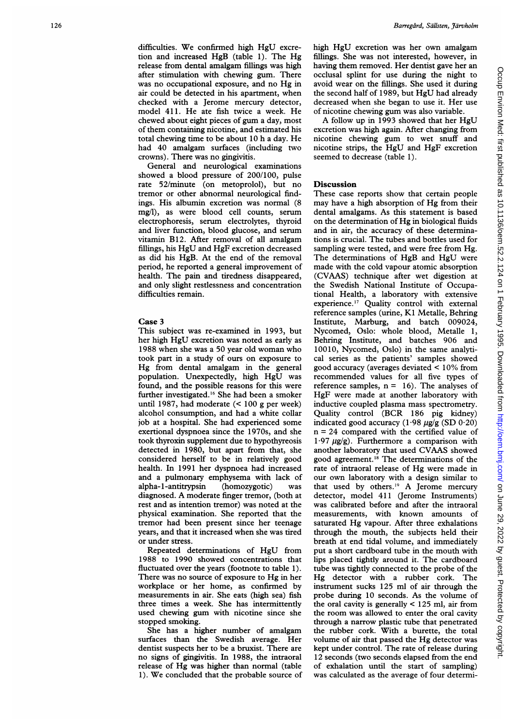difficulties. We confirmed high HgU excretion and increased HgB (table 1). The Hg release from dental amalgam fillings was high after stimulation with chewing gum. There was no occupational exposure, and no Hg in air could be detected in his apartment, when checked with a Jerome mercury detector, model 41 1. He ate fish twice <sup>a</sup> week. He chewed about eight pieces of gum a day, most of them containing nicotine, and estimated his total chewing time to be about 10 h <sup>a</sup> day. He had 40 amalgam surfaces (including two crowns). There was no gingivitis.

General and neurological examinations showed a blood pressure of 200/100, pulse rate 52/minute (on metoprolol), but no tremor or other abnormal neurological findings. His albumin excretion was normal (8 mg/l), as were blood cell counts, serum electrophoresis, serum electrolytes, thyroid and liver function, blood glucose, and serum vitamin B 12. After removal of all amalgam fillings, his HgU and HgF excretion decreased as did his HgB. At the end of the removal period, he reported a general improvement of health. The pain and tiredness disappeared, and only slight restlessness and concentration difficulties remain.

#### Case 3

This subject was re-examined in 1993, but her high HgU excretion was noted as early as 1988 when she was <sup>a</sup> 50 year old woman who took part in a study of ours on exposure to Hg from dental amalgam in the general population. Unexpectedly, high HgU was found, and the possible reasons for this were further investigated.'6 She had been a smoker until 1987, had moderate (< 100 g per week) alcohol consumption, and had a white collar job at a hospital. She had experienced some exertional dyspnoea since the 1970s, and she took thyroxin supplement due to hypothyreosis detected in 1980, but apart from that, she considered herself to be in relatively good health. In 1991 her dyspnoea had increased and a pulmonary emphysema with lack of alpha-(homozygotic) was diagnosed. A moderate finger tremor, (both at rest and as intention tremor) was noted at the physical examination. She reported that the tremor had been present since her teenage years, and that it increased when she was tired or under stress.

Repeated determinations of HgU from 1988 to 1990 showed concentrations that fluctuated over the years (footnote to table 1). There was no source of exposure to Hg in her workplace or her home, as confirmed by measurements in air. She eats (high sea) fish three times a week. She has intermittently used chewing gum with nicotine since she stopped smoking.

She has a higher number of amalgam surfaces than the Swedish average. Her dentist suspects her to be a bruxist. There are no signs of gingivitis. In 1988, the intraoral release of Hg was higher than normal (table 1). We concluded that the probable source of high HgU excretion was her own amalgam fillings. She was not interested, however, in having them removed. Her dentist gave her an occlusal splint for use during the night to avoid wear on the fillings. She used it during the second half of 1989, but HgU had already decreased when she began to use it. Her use<br>of nicotine chewing gum was also variable.

A follow up in 1993 showed that her HgU excretion was high again. After changing from nicotine chewing gum to wet snuff and nicotine strips, the HgU and HgF excretion seemed to decrease (table 1).

### **Discussion**

These case reports show that certain people may have <sup>a</sup> high absorption of Hg from their dental amalgams. As this statement is based on the determination of Hg in biological fluids and in air, the accuracy of these determinations is crucial. The tubes and bottles used for sampling were tested, and were free from Hg. The determinations of HgB and HgU were made with the cold vapour atomic absorption (CVAAS) technique after wet digestion at the Swedish National Institute of Occupational Health, a laboratory with extensive experience.'7 Quality control with external reference samples (urine, K1 Metalle, Behring Institute, Marburg, and batch 009024, Nycomed, Oslo: whole blood, Metalle 1, Behring Institute, and batches 906 and 10010, Nycomed, Oslo) in the same analytical series as the patients' samples showed good accuracy (averages deviated < 10% from recommended values for all five types of reference samples,  $n = 16$ ). The analyses of HgF were made at another laboratory with inductive coupled plasma mass spectrometry. Quality control (BCR 186 pig kidney) indicated good accuracy  $(1.98 \ \mu g/g (SD 0.20))$ n = 24 compared with the certified value of  $1.97 \mu g/g$ ). Furthermore a comparison with another laboratory that used CVAAS showed good agreement.'8 The determinations of the rate of intraoral release of Hg were made in our own laboratory with a design similar to that used by others.'9 A Jerome mercury detector, model 411 (Jerome Instruments) was calibrated before and after the intraoral measurements, with known amounts of saturated Hg vapour. After three exhalations through the mouth, the subjects held their breath at end tidal volume, and immediately put a short cardboard tube in the mouth with lips placed tightly around it. The cardboard tube was tightly connected to the probe of the Hg detector with a rubber cork. The instrument sucks 125 ml of air through the probe during 10 seconds. As the volume of the oral cavity is generally < 125 ml, air from the room was allowed to enter the oral cavity through a narrow plastic tube that penetrated the rubber cork. With a burette, the total volume of air that passed the Hg detector was kept under control. The rate of release during 12 seconds (two seconds elapsed from the end of exhalation until the start of sampling) was calculated as the average of four determi-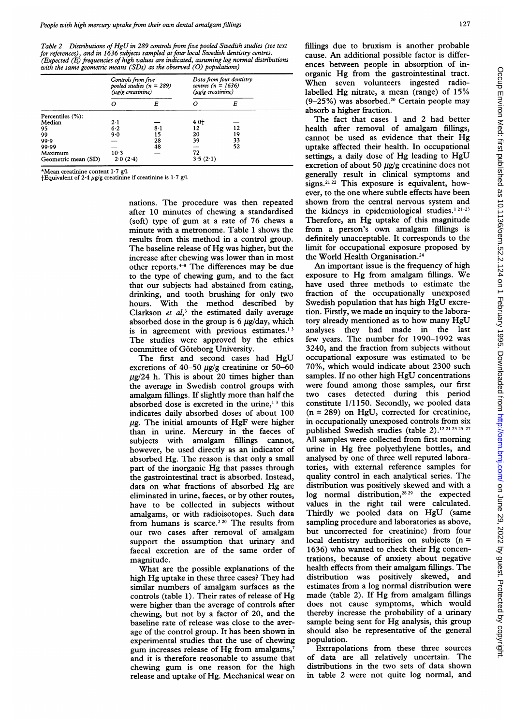Table <sup>2</sup> Distributions of HgU in 289 controls from five pooled Swedish studies (see text for references), and in 1636 subjects sampled at four local Swedish dentistry centres. (Expected  $(E)$  frequencies of high values are indicated, assuming log normal distributions with the same geometric means (SDs) as the observed (O) populations)

|                                | Controls from five<br>pooled studies $(n = 289)$<br>(µg/g creatinine) |     | Data from four dentistry<br>centres ( $n = 1636$ )<br>(ug/g creatinine) |    |
|--------------------------------|-----------------------------------------------------------------------|-----|-------------------------------------------------------------------------|----|
|                                | Ω                                                                     | E   | Ω                                                                       | E  |
| Percentiles (%):               |                                                                       |     |                                                                         |    |
| Median                         | $2 \cdot 1$                                                           |     | $4.0+$                                                                  |    |
| 95                             | 6.2                                                                   | 8·1 | 12                                                                      | 12 |
| 99                             | 9.0                                                                   | 15  | 20                                                                      | 19 |
| 99.9                           |                                                                       | 28  | 39                                                                      | 33 |
| 99.99                          |                                                                       | 48  |                                                                         | 52 |
| Maximum<br>Geometric mean (SD) | $10-3$<br>2.0(2.4)                                                    |     | 72<br>3.5(2.1)                                                          |    |

\*Mean creatinine content 1·7 g/l.<br>†Equivalent of 2·4  $\mu$ g/g creatinine if creatinine is 1·7 g/l.

nations. The procedure was then repeated after 10 minutes of chewing a standardized (soft) type of gum at <sup>a</sup> rate of 76 chews <sup>a</sup> minute with a metronome. Table <sup>1</sup> shows the results from this method in a control group. The baseline release of Hg was higher, but the increase after chewing was lower than in most other reports.<sup>4-8</sup> The differences may be due to the type of chewing gum, and to the fact that our subjects had abstained from eating, drinking, and tooth brushing for only two hours. With the method described by Clarkson et  $al$ <sup>3</sup> the estimated daily average absorbed dose in the group is 6  $\mu$ g/day, which is in agreement with previous estimates. $13$ The studies were approved by the ethics committee of Goteborg University.

The first and second cases had HgU excretions of  $40-50 \mu g/g$  creatinine or 50-60  $\mu$ g/24 h. This is about 20 times higher than the average in Swedish control groups with amalgam fillings. If slightly more than half the absorbed dose is excreted in the urine, $13$  this indicates daily absorbed doses of about 100  $\mu$ g. The initial amounts of HgF were higher than in urine. Mercury in the faeces of subjects with amalgam fillings cannot, however, be used directly as an indicator of absorbed Hg. The reason is that only a small part of the inorganic Hg that passes through the gastrointestinal tract is absorbed. Instead, data on what fractions of absorbed Hg are eliminated in urine, faeces, or by other routes, have to be collected in subjects without amalgams, or with radioisotopes. Such data from humans is scarce.<sup>220</sup> The results from our two cases after removal of amalgam support the assumption that urinary and faecal excretion are of the same order of magnitude.

What are the possible explanations of the high Hg uptake in these three cases? They had similar numbers of amalgam surfaces as the controls (table 1). Their rates of release of Hg were higher than the average of controls after chewing, but not by a factor of 20, and the baseline rate of release was close to the average of the control group. It has been shown in experimental studies that the use of chewing gum increases release of Hg from amalgams,<sup>7</sup> and it is therefore reasonable to assume that chewing gum is one reason for the high release and uptake of Hg. Mechanical wear on

The fact that cases <sup>1</sup> and 2 had better health after removal of amalgam fillings, cannot be used as evidence that their Hg uptake affected their health. In occupational settings, <sup>a</sup> daily dose of Hg leading to HgU excretion of about 50  $\mu$ g/g creatinine does not generally result in clinical symptoms and  $21$   $22$  This exposure is equivalent, however, to the one where subtle effects have been shown from the central nervous system and the kidneys in epidemiological studies.<sup>121-23</sup> Therefore, an Hg uptake of this magnitude from <sup>a</sup> person's own amalgam fillings is definitely unacceptable. It corresponds to the limit for occupational exposure proposed by the World Health Organisation.24

An important issue is the frequency of high exposure to Hg from amalgam fillings. We have used three methods to estimate the fraction of the occupationally unexposed Swedish population that has high HgU excretion. Firstly, we made an inquiry to the laboratory already mentioned as to how many HgU analyses they had made in the last few years. The number for 1990-1992 was 3240, and the fraction from subjects without occupational exposure was estimated to be 70%, which would indicate about 2300 such samples. If no other high HgU concentrations were found among those samples, our first two cases detected during this period constitute 1/1150. Secondly, we pooled data  $(n = 289)$  on HgU, corrected for creatinine, in occupationally unexposed controls from six published Swedish studies (table 2).<sup>12 21 23 25-27</sup> All samples were collected from first morning urine in Hg free polyethylene bottles, and analysed by one of three well reputed laboratories, with external reference samples for quality control in each analytical series. The distribution was positively skewed and with a log normal distribution,<sup>28,29</sup> the expected values in the right tail were calculated. Thirdly we pooled data on HgU (same sampling procedure and laboratories as above, but uncorrected for creatinine) from four local dentistry authorities on subjects  $(n =$ 1636) who wanted to check their Hg concentrations, because of anxiety about negative health effects from their amalgam fillings. The distribution was positively skewed, and estimates from a log normal distribution were made (table 2). If Hg from amalgam fillings does not cause symptoms, which would thereby increase the probability of a urinary sample being sent for Hg analysis, this group should also be representative of the general population.

Extrapolations from these three sources of data are all relatively uncertain. The distributions in the two sets of data shown in table 2 were not quite log normal, and